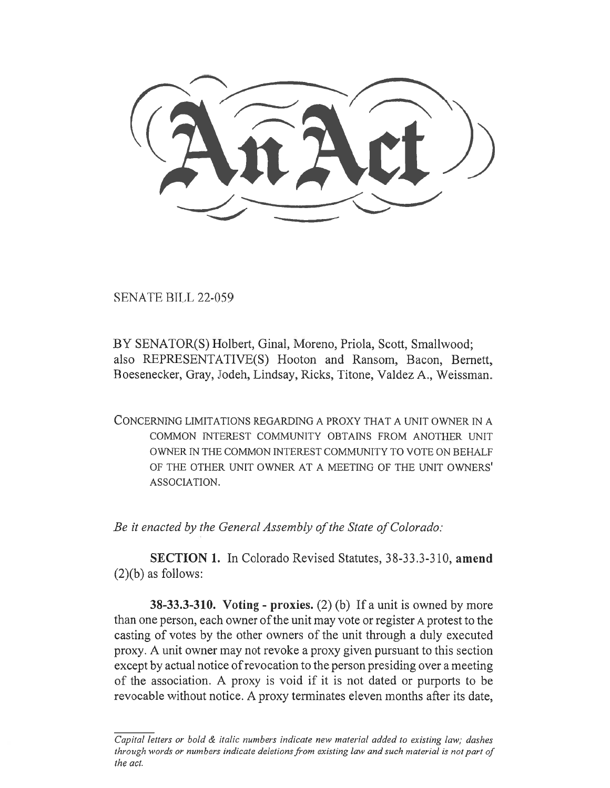SENATE BILL 22-059

BY SENATOR(S) Holbert, Ginal, Moreno, Priola, Scott, Smallwood; also REPRESENTATIVE(S) Hooton and Ransom, Bacon, Bernett, Boesenecker, Gray, Jodeh, Lindsay, Ricks, Titone, Valdez A., Weissman.

CONCERNING LIMITATIONS REGARDING A PROXY THAT A UNIT OWNER IN A COMMON INTEREST COMMUNITY OBTAINS FROM ANOTHER UNIT OWNER IN THE COMMON INTEREST COMMUNITY TO VOTE ON BEHALF OF THE OTHER UNIT OWNER AT A MEETING OF THE UNIT OWNERS' ASSOCIATION.

Be it enacted by the General Assembly of the State of Colorado:

SECTION 1. In Colorado Revised Statutes, 38-33.3-310, amend  $(2)(b)$  as follows:

**38-33.3-310.** Voting - proxies. (2) (b) If a unit is owned by more than one person, each owner of the unit may vote or register A protest to the casting of votes by the other owners of the unit through a duly executed proxy. A unit owner may not revoke a proxy given pursuant to this section except by actual notice of revocation to the person presiding over a meeting of the association. A proxy is void if it is not dated or purports to be revocable without notice. A proxy terminates eleven months after its date,

 $\overline{Capital}$  letters or bold  $\&$  italic numbers indicate new material added to existing law; dashes through words or numbers indicate deletions from existing law and such material is not part of the act.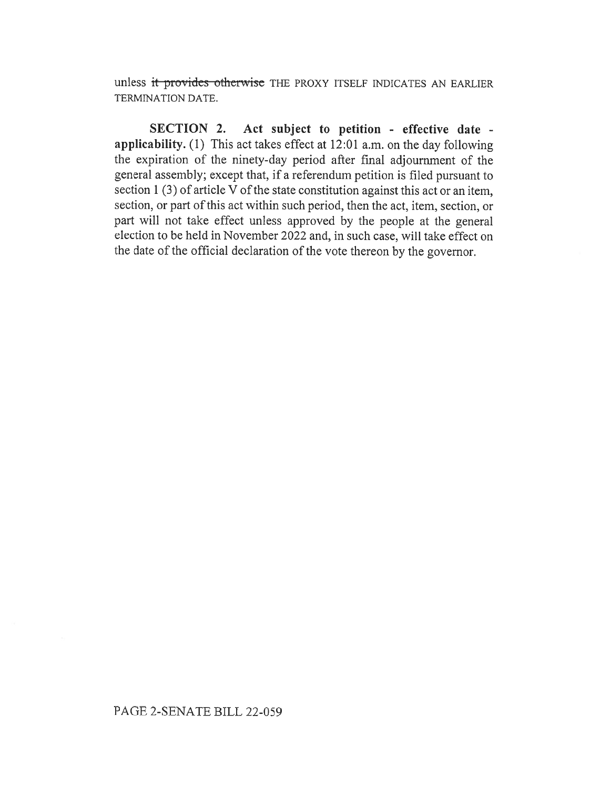unless it provides otherwise THE PROXY ITSELF INDICATES AN EARLIER TERMINATION DATE.

SECTION 2. Act subject to petition - effective date applicability. (1) This act takes effect at 12:01 a.m. on the day following the expiration of the ninety-day period after final adjournment of the general assembly; except that, if a referendum petition is filed pursuant to section 1 (3) of article V of the state constitution against this act or an item, section, or part of this act within such period, then the act, item, section, or part will not take effect unless approved by the people at the general election to be held in November 2022 and, in such case, will take effect on the date of the official declaration of the vote thereon by the governor.